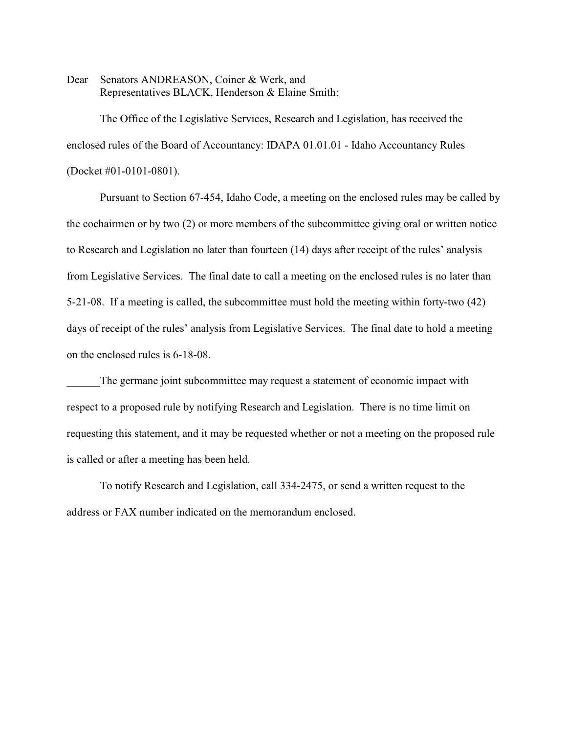Dear Senators ANDREASON, Coiner & Werk, and Representatives BLACK, Henderson & Elaine Smith:

The Office of the Legislative Services, Research and Legislation, has received the enclosed rules of the Board of Accountancy: IDAPA 01.01.01 - Idaho Accountancy Rules (Docket #01-0101-0801).

Pursuant to Section 67-454, Idaho Code, a meeting on the enclosed rules may be called by the cochairmen or by two (2) or more members of the subcommittee giving oral or written notice to Research and Legislation no later than fourteen (14) days after receipt of the rules' analysis from Legislative Services. The final date to call a meeting on the enclosed rules is no later than 5-21-08. If a meeting is called, the subcommittee must hold the meeting within forty-two (42) days of receipt of the rules' analysis from Legislative Services. The final date to hold a meeting on the enclosed rules is 6-18-08.

The germane joint subcommittee may request a statement of economic impact with respect to a proposed rule by notifying Research and Legislation. There is no time limit on requesting this statement, and it may be requested whether or not a meeting on the proposed rule is called or after a meeting has been held.

To notify Research and Legislation, call 334-2475, or send a written request to the address or FAX number indicated on the memorandum enclosed.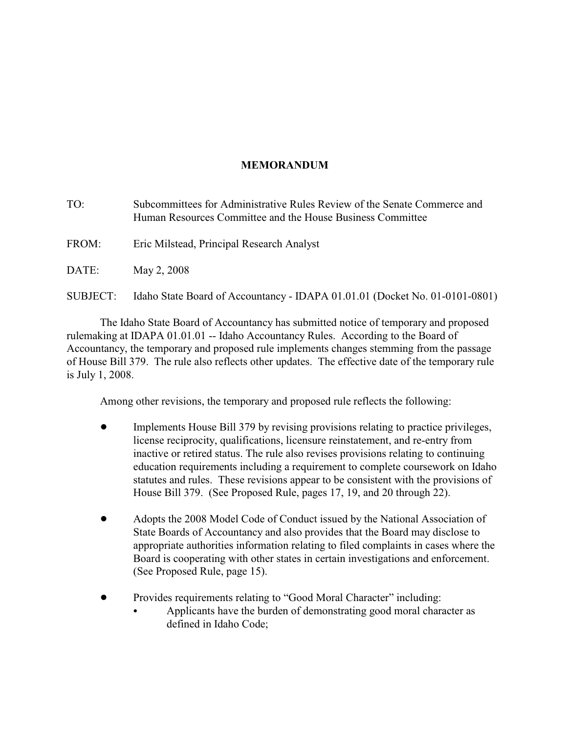# **MEMORANDUM**

TO: Subcommittees for Administrative Rules Review of the Senate Commerce and Human Resources Committee and the House Business Committee FROM: Eric Milstead, Principal Research Analyst DATE: May 2, 2008 SUBJECT: Idaho State Board of Accountancy - IDAPA 01.01.01 (Docket No. 01-0101-0801)

The Idaho State Board of Accountancy has submitted notice of temporary and proposed rulemaking at IDAPA 01.01.01 -- Idaho Accountancy Rules. According to the Board of Accountancy, the temporary and proposed rule implements changes stemming from the passage of House Bill 379. The rule also reflects other updates. The effective date of the temporary rule is July 1, 2008.

Among other revisions, the temporary and proposed rule reflects the following:

- ! Implements House Bill 379 by revising provisions relating to practice privileges, license reciprocity, qualifications, licensure reinstatement, and re-entry from inactive or retired status. The rule also revises provisions relating to continuing education requirements including a requirement to complete coursework on Idaho statutes and rules. These revisions appear to be consistent with the provisions of House Bill 379. (See Proposed Rule, pages 17, 19, and 20 through 22).
- ! Adopts the 2008 Model Code of Conduct issued by the National Association of State Boards of Accountancy and also provides that the Board may disclose to appropriate authorities information relating to filed complaints in cases where the Board is cooperating with other states in certain investigations and enforcement. (See Proposed Rule, page 15).
- Provides requirements relating to "Good Moral Character" including:
	- Applicants have the burden of demonstrating good moral character as defined in Idaho Code;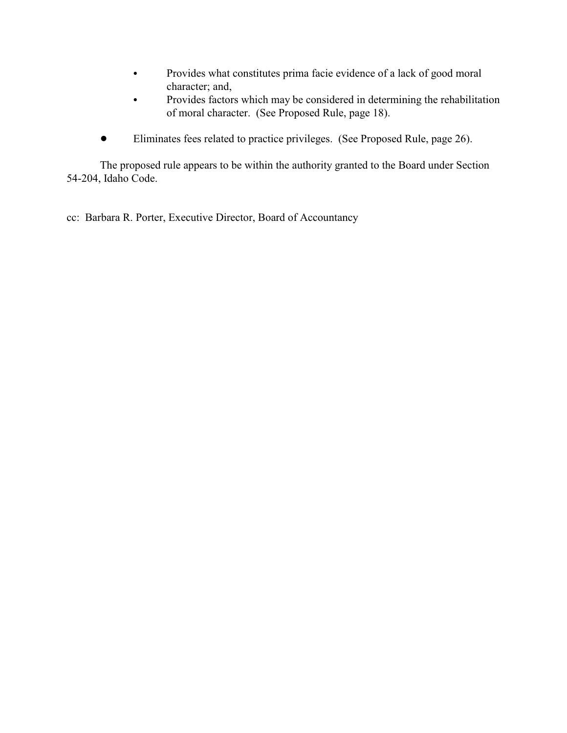- Provides what constitutes prima facie evidence of a lack of good moral character; and,
- Provides factors which may be considered in determining the rehabilitation of moral character. (See Proposed Rule, page 18).
- ! Eliminates fees related to practice privileges. (See Proposed Rule, page 26).

The proposed rule appears to be within the authority granted to the Board under Section 54-204, Idaho Code.

cc: Barbara R. Porter, Executive Director, Board of Accountancy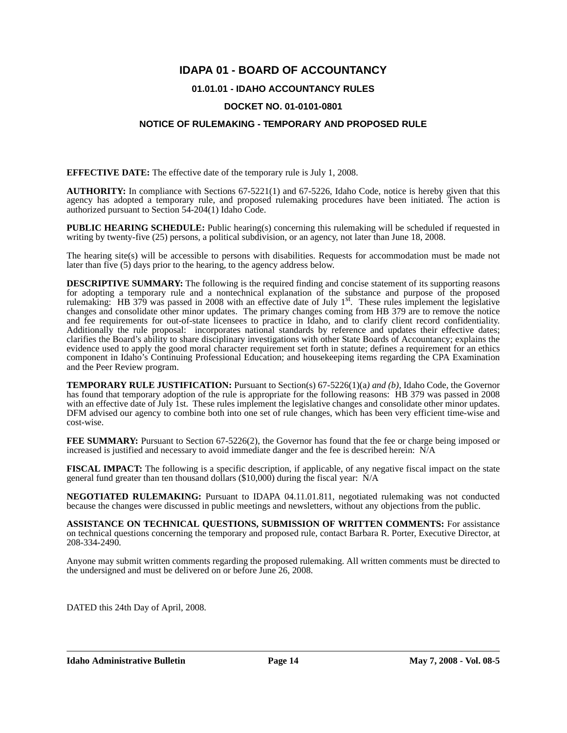# **IDAPA 01 - BOARD OF ACCOUNTANCY**

## **01.01.01 - IDAHO ACCOUNTANCY RULES**

## **DOCKET NO. 01-0101-0801**

## **NOTICE OF RULEMAKING - TEMPORARY AND PROPOSED RULE**

**EFFECTIVE DATE:** The effective date of the temporary rule is July 1, 2008.

**AUTHORITY:** In compliance with Sections 67-5221(1) and 67-5226, Idaho Code, notice is hereby given that this agency has adopted a temporary rule, and proposed rulemaking procedures have been initiated. The action is authorized pursuant to Section 54-204(1) Idaho Code.

**PUBLIC HEARING SCHEDULE:** Public hearing(s) concerning this rulemaking will be scheduled if requested in writing by twenty-five (25) persons, a political subdivision, or an agency, not later than June 18, 2008.

The hearing site(s) will be accessible to persons with disabilities. Requests for accommodation must be made not later than five (5) days prior to the hearing, to the agency address below.

**DESCRIPTIVE SUMMARY:** The following is the required finding and concise statement of its supporting reasons for adopting a temporary rule and a nontechnical explanation of the substance and purpose of the proposed rulemaking: HB 379 was passed in 2008 with an effective date of July 1st. These rules implement the legislative changes and consolidate other minor updates. The primary changes coming from HB 379 are to remove the notice and fee requirements for out-of-state licensees to practice in Idaho, and to clarify client record confidentiality. Additionally the rule proposal: incorporates national standards by reference and updates their effective dates; clarifies the Board's ability to share disciplinary investigations with other State Boards of Accountancy; explains the evidence used to apply the good moral character requirement set forth in statute; defines a requirement for an ethics component in Idaho's Continuing Professional Education; and housekeeping items regarding the CPA Examination and the Peer Review program.

**TEMPORARY RULE JUSTIFICATION:** Pursuant to Section(s) 67-5226(1)(a*) and (b)*, Idaho Code, the Governor has found that temporary adoption of the rule is appropriate for the following reasons: HB 379 was passed in 2008 with an effective date of July 1st. These rules implement the legislative changes and consolidate other minor updates. DFM advised our agency to combine both into one set of rule changes, which has been very efficient time-wise and cost-wise.

**FEE SUMMARY:** Pursuant to Section 67-5226(2), the Governor has found that the fee or charge being imposed or increased is justified and necessary to avoid immediate danger and the fee is described herein: N/A

**FISCAL IMPACT:** The following is a specific description, if applicable, of any negative fiscal impact on the state general fund greater than ten thousand dollars (\$10,000) during the fiscal year: N/A

**NEGOTIATED RULEMAKING:** Pursuant to IDAPA 04.11.01.811, negotiated rulemaking was not conducted because the changes were discussed in public meetings and newsletters, without any objections from the public.

**ASSISTANCE ON TECHNICAL QUESTIONS, SUBMISSION OF WRITTEN COMMENTS:** For assistance on technical questions concerning the temporary and proposed rule, contact Barbara R. Porter, Executive Director, at 208-334-2490*.*

Anyone may submit written comments regarding the proposed rulemaking. All written comments must be directed to the undersigned and must be delivered on or before June 26, 2008.

DATED this 24th Day of April, 2008.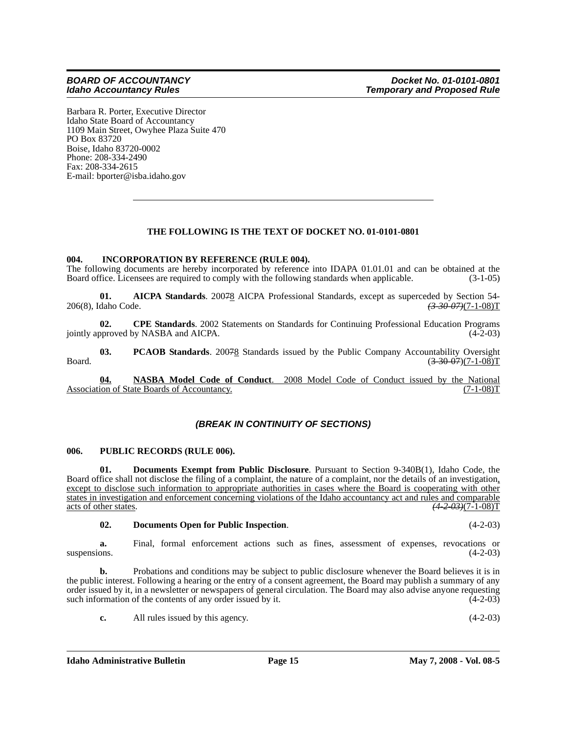Barbara R. Porter, Executive Director Idaho State Board of Accountancy 1109 Main Street, Owyhee Plaza Suite 470 PO Box 83720 Boise, Idaho 83720-0002 Phone: 208-334-2490 Fax: 208-334-2615 E-mail: bporter@isba.idaho.gov

## **THE FOLLOWING IS THE TEXT OF DOCKET NO. 01-0101-0801**

## **004. INCORPORATION BY REFERENCE (RULE 004).**

The following documents are hereby incorporated by reference into IDAPA 01.01.01 and can be obtained at the Board office. Licensees are required to comply with the following standards when applicable. (3-1-05)

**01. AICPA Standards**. 200<del>7</del>8 AICPA Professional Standards, except as superceded by Section 54-<br>daho Code. <del>(3-30-07)</del>(7-1-08)T 206(8), Idaho Code.

**02. CPE Standards**. 2002 Statements on Standards for Continuing Professional Education Programs jointly approved by NASBA and AICPA. (4-2-03)

**03. PCAOB Standards**. 20078 Standards issued by the Public Company Accountability Oversight Board.  $(3-30-07)(7-1-08)T$ 

**04. NASBA Model Code of Conduct**. 2008 Model Code of Conduct issued by the National Association of State Boards of Accountancy.

## *(BREAK IN CONTINUITY OF SECTIONS)*

#### **006. PUBLIC RECORDS (RULE 006).**

**01. Documents Exempt from Public Disclosure**. Pursuant to Section 9-340B(1), Idaho Code, the Board office shall not disclose the filing of a complaint, the nature of a complaint, nor the details of an investigation, except to disclose such information to appropriate authorities in cases where the Board is cooperating with other states in investigation and enforcement concerning violations of the Idaho accountancy act and rules and comparable acts of other states. *(4-2-03)*(7-1-08)T

#### **02. Documents Open for Public Inspection**. (4-2-03)

**a.** Final, formal enforcement actions such as fines, assessment of expenses, revocations or suspensions.  $(4-2-03)$ 

**b.** Probations and conditions may be subject to public disclosure whenever the Board believes it is in the public interest. Following a hearing or the entry of a consent agreement, the Board may publish a summary of any order issued by it, in a newsletter or newspapers of general circulation. The Board may also advise anyone requesting such information of the contents of any order issued by it. (4-2-03)

**c.** All rules issued by this agency. (4-2-03)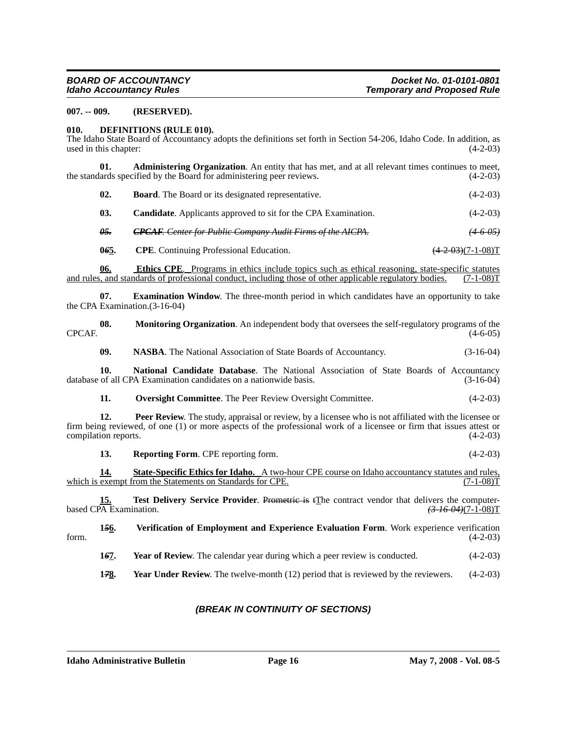#### **007. -- 009. (RESERVED).**

#### **010. DEFINITIONS (RULE 010).**

The Idaho State Board of Accountancy adopts the definitions set forth in Section 54-206, Idaho Code. In addition, as used in this chapter:  $(4-2-03)$ 

| Administering Organization. An entity that has met, and at all relevant times continues to meet, |  |            |
|--------------------------------------------------------------------------------------------------|--|------------|
| the standards specified by the Board for administering peer reviews.                             |  | $(4-2-03)$ |

| 02.<br><b>Board.</b> The Board or its designated representative. | $(4-2-03)$ |
|------------------------------------------------------------------|------------|
|------------------------------------------------------------------|------------|

**03.** Candidate. Applicants approved to sit for the CPA Examination. (4-2-03)

*05. CPCAF. Center for Public Company Audit Firms of the AICPA. (4-6-05)*

**065.** CPE. Continuing Professional Education. (4-2-03)(7-1-08)T

**08. Monitoring Organization**. An independent body that oversees the self-regulatory programs of the

**06.** Ethics CPE. Programs in ethics include topics such as ethical reasoning, state-specific statutes and rules, and standards of professional conduct, including those of other applicable regulatory bodies. (7-1-08)T

**07. Examination Window**. The three-month period in which candidates have an opportunity to take the CPA Examination.(3-16-04)

| CPCAF.                                                                                                                                                                                                                                                                            | ,,,,, | thomeoring organization. The macpenaeut boay that overloces the sent regarding y programs of the                                                                    | $(4-6-05)$  |
|-----------------------------------------------------------------------------------------------------------------------------------------------------------------------------------------------------------------------------------------------------------------------------------|-------|---------------------------------------------------------------------------------------------------------------------------------------------------------------------|-------------|
|                                                                                                                                                                                                                                                                                   | 09.   | <b>NASBA.</b> The National Association of State Boards of Accountancy.                                                                                              | $(3-16-04)$ |
|                                                                                                                                                                                                                                                                                   | 10.   | National Candidate Database. The National Association of State Boards of Accountancy<br>database of all CPA Examination candidates on a nationwide basis.           | $(3-16-04)$ |
|                                                                                                                                                                                                                                                                                   | 11.   | <b>Oversight Committee.</b> The Peer Review Oversight Committee.                                                                                                    | $(4-2-03)$  |
| <b>Peer Review.</b> The study, appraisal or review, by a licensee who is not affiliated with the licensee or<br>12.<br>firm being reviewed, of one (1) or more aspects of the professional work of a licensee or firm that issues attest or<br>compilation reports.<br>$(4-2-03)$ |       |                                                                                                                                                                     |             |
|                                                                                                                                                                                                                                                                                   | 13.   | <b>Reporting Form.</b> CPE reporting form.                                                                                                                          | $(4-2-03)$  |
|                                                                                                                                                                                                                                                                                   | 14.   | <b>State-Specific Ethics for Idaho.</b> A two-hour CPE course on Idaho accountancy statures and rules,<br>which is exempt from the Statements on Standards for CPE. | (7-1-08)T   |

**15. Test Delivery Service Provider**. Prometric is tThe contract vendor that delivers the computer-<br><sup>2</sup>A Examination. (3.46.04)(7-1-08)T based CPA Examination.

**1***5***6. Verification of Employment and Experience Evaluation Form**. Work experience verification form.  $(4-2-03)$ 

**167.** Year of Review. The calendar year during which a peer review is conducted. (4-2-03)

**17<u>8</u>.** Year Under Review. The twelve-month (12) period that is reviewed by the reviewers. (4-2-03)

## *(BREAK IN CONTINUITY OF SECTIONS)*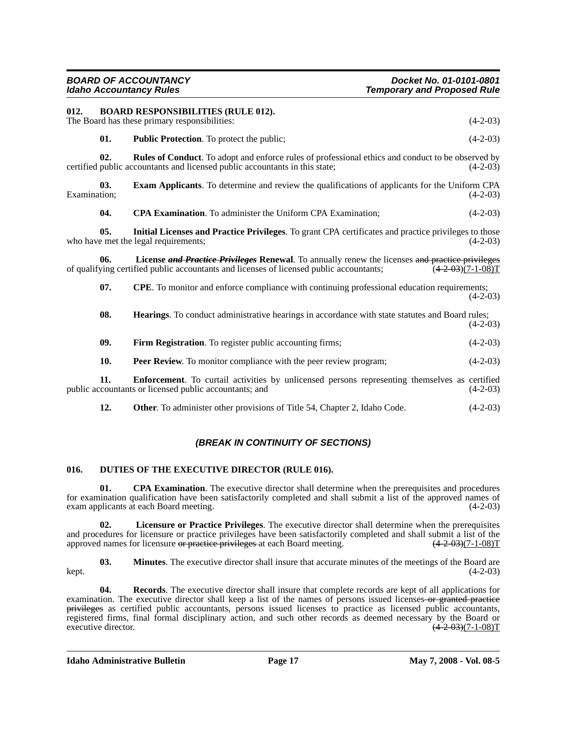| 012.         |                  | <b>BOARD RESPONSIBILITIES (RULE 012).</b><br>The Board has these primary responsibilities:                                                                                                        | $(4-2-03)$                   |
|--------------|------------------|---------------------------------------------------------------------------------------------------------------------------------------------------------------------------------------------------|------------------------------|
|              | 01.              | <b>Public Protection.</b> To protect the public;                                                                                                                                                  | $(4-2-03)$                   |
|              | 02.              | <b>Rules of Conduct</b> . To adopt and enforce rules of professional ethics and conduct to be observed by<br>certified public accountants and licensed public accountants in this state;          | $(4-2-03)$                   |
| Examination; | 03.              | <b>Exam Applicants.</b> To determine and review the qualifications of applicants for the Uniform CPA                                                                                              | $(4-2-03)$                   |
|              | 04.              | CPA Examination. To administer the Uniform CPA Examination;                                                                                                                                       | $(4-2-03)$                   |
|              | 0.5 <sub>1</sub> | Initial Licenses and Practice Privileges. To grant CPA certificates and practice privileges to those<br>who have met the legal requirements;                                                      | $(4-2-03)$                   |
|              | 06.              | License <b>and Practice Privileges</b> Renewal. To annually renew the licenses and practice privileges<br>of qualifying certified public accountants and licenses of licensed public accountants; | $(4 - 2 - 03)(7 - 1 - 08)$ T |
|              | 07.              | <b>CPE</b> . To monitor and enforce compliance with continuing professional education requirements;                                                                                               | $(4-2-03)$                   |
|              | 08.              | Hearings. To conduct administrative hearings in accordance with state statutes and Board rules;                                                                                                   | $(4-2-03)$                   |
|              | 09.              | Firm Registration. To register public accounting firms;                                                                                                                                           | $(4-2-03)$                   |
|              | 10.              | Peer Review. To monitor compliance with the peer review program;                                                                                                                                  | $(4-2-03)$                   |
|              | 11.              | <b>Enforcement</b> . To curtail activities by unlicensed persons representing themselves as certified<br>public accountants or licensed public accountants; and                                   | $(4-2-03)$                   |
|              | 12.              | <b>Other.</b> To administer other provisions of Title 54, Chapter 2, Idaho Code.                                                                                                                  | $(4-2-03)$                   |

## *(BREAK IN CONTINUITY OF SECTIONS)*

## **016. DUTIES OF THE EXECUTIVE DIRECTOR (RULE 016).**

**01.** CPA Examination. The executive director shall determine when the prerequisites and procedures for examination qualification have been satisfactorily completed and shall submit a list of the approved names of exam applicants at each Board meeting. (4-2-03) exam applicants at each Board meeting.

**02. Licensure or Practice Privileges**. The executive director shall determine when the prerequisites and procedures for licensure or practice privileges have been satisfactorily completed and shall submit a list of the approved names for licensure or practice privileges at each Board meeting.  $(4-2-0.03)(7-1-0.08)$ 

**03. Minutes**. The executive director shall insure that accurate minutes of the meetings of the Board are kept. (4-2-03)

**04. Records**. The executive director shall insure that complete records are kept of all applications for examination. The executive director shall keep a list of the names of persons issued licenses-or granted practice privileges as certified public accountants, persons issued licenses to practice as licensed public accountants, registered firms, final formal disciplinary action, and such other records as deemed necessary by the Board or executive director.  $(4-2-03)(7-1-08)T$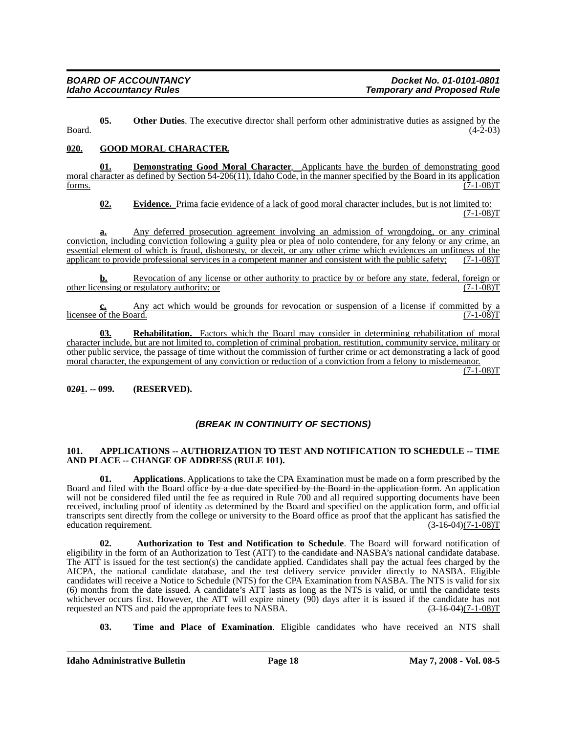**05.** Other Duties. The executive director shall perform other administrative duties as assigned by the  $\beta$ Board. (4-2-03)

## **020. GOOD MORAL CHARACTER.**

**01. Demonstrating Good Moral Character**.Applicants have the burden of demonstrating good moral character as defined by Section 54-206(11), Idaho Code, in the manner specified by the Board in its application forms.  $(7-1-08)T$ forms.  $(7-1-08)T$ 

**02. Evidence.** Prima facie evidence of a lack of good moral character includes, but is not limited to:  $(7-1-08)T$ 

**a.** Any deferred prosecution agreement involving an admission of wrongdoing, or any criminal conviction, including conviction following a guilty plea or plea of nolo contendere, for any felony or any crime, an essential element of which is fraud, dishonesty, or deceit, or any other crime which evidences an unfitness of the applicant to provide professional services in a competent manner and consistent with the public safety: (7applicant to provide professional services in a competent manner and consistent with the public safety;

**b.** Revocation of any license or other authority to practice by or before any state, federal, foreign or regulatory authority: or  $(7-1-08)$ other licensing or regulatory authority; or

Any act which would be grounds for revocation or suspension of a license if committed by a ard. licensee of the Board.

**03. Rehabilitation.** Factors which the Board may consider in determining rehabilitation of moral character include, but are not limited to, completion of criminal probation, restitution, community service, military or other public service, the passage of time without the commission of further crime or act demonstrating a lack of good moral character, the expungement of any conviction or reduction of a conviction from a felony to misdemeanor.

 $(7-1-08)T$ 

## **02***0***1. -- 099. (RESERVED).**

## *(BREAK IN CONTINUITY OF SECTIONS)*

## **101. APPLICATIONS -- AUTHORIZATION TO TEST AND NOTIFICATION TO SCHEDULE -- TIME AND PLACE -- CHANGE OF ADDRESS (RULE 101).**

**01. Applications**. Applications to take the CPA Examination must be made on a form prescribed by the Board and filed with the Board office by a due date specified by the Board in the application form. An application will not be considered filed until the fee as required in Rule 700 and all required supporting documents have been received, including proof of identity as determined by the Board and specified on the application form, and official transcripts sent directly from the college or university to the Board office as proof that the applicant has satisfied the education requirement.  $(3-16-04)(7-1-08)T$ education requirement.

**02. Authorization to Test and Notification to Schedule**. The Board will forward notification of eligibility in the form of an Authorization to Test (ATT) to the candidate and NASBA's national candidate database. The ATT is issued for the test section(s) the candidate applied. Candidates shall pay the actual fees charged by the AICPA, the national candidate database, and the test delivery service provider directly to NASBA. Eligible candidates will receive a Notice to Schedule (NTS) for the CPA Examination from NASBA. The NTS is valid for six (6) months from the date issued. A candidate's ATT lasts as long as the NTS is valid, or until the candidate tests whichever occurs first. However, the ATT will expire ninety (90) days after it is issued if the candidate has not requested an NTS and paid the appropriate fees to NASBA.  $(3-16-04)(7-1-08)T$ requested an NTS and paid the appropriate fees to NASBA.

**03. Time and Place of Examination**. Eligible candidates who have received an NTS shall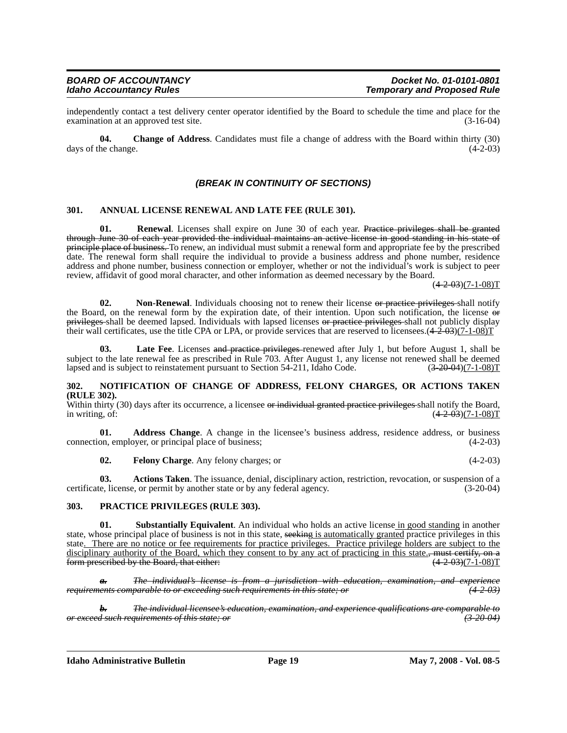independently contact a test delivery center operator identified by the Board to schedule the time and place for the examination at an approved test site.

**04. Change of Address**. Candidates must file a change of address with the Board within thirty (30) days of the change.  $(4-2-03)$ 

## *(BREAK IN CONTINUITY OF SECTIONS)*

#### **301. ANNUAL LICENSE RENEWAL AND LATE FEE (RULE 301).**

**01.** Renewal. Licenses shall expire on June 30 of each year. Practice privileges shall be granted through June 30 of each year provided the individual maintains an active license in good standing in his state of principle place of business. To renew, an individual must submit a renewal form and appropriate fee by the prescribed date. The renewal form shall require the individual to provide a business address and phone number, residence address and phone number, business connection or employer, whether or not the individual's work is subject to peer review, affidavit of good moral character, and other information as deemed necessary by the Board.

 $(4-2-03)(7-1-08)T$ 

**02.** Non-Renewal. Individuals choosing not to renew their license or practice privileges shall notify the Board, on the renewal form by the expiration date, of their intention. Upon such notification, the license or privileges shall be deemed lapsed. Individuals with lapsed licenses or practice privileges shall not publicly display their wall certificates, use the title CPA or LPA, or provide services that are reserved to licensees. $(4-2.03)(7-1.08)$ T

**Late Fee**. Licenses and practice privileges renewed after July 1, but before August 1, shall be subject to the late renewal fee as prescribed in Rule 703. After August 1, any license not renewed shall be deemed lapsed and is subject to reinstatement pursuant to Section 54-211, Idaho Code. (3-20-04)(7-1-08)T

#### **302. NOTIFICATION OF CHANGE OF ADDRESS, FELONY CHARGES, OR ACTIONS TAKEN (RULE 302).**

Within thirty (30) days after its occurrence, a licensee or individual granted practice privileges shall notify the Board, in writing, of:  $(4-2.03)(7-1-08)T$ 

**01. Address Change**. A change in the licensee's business address, residence address, or business connection, employer, or principal place of business; (4-2-03)

**02. Felony Charge**. Any felony charges; or (4-2-03)

**03. Actions Taken**. The issuance, denial, disciplinary action, restriction, revocation, or suspension of a certificate, license, or permit by another state or by any federal agency. (3-20-04)

#### **303. PRACTICE PRIVILEGES (RULE 303).**

**Substantially Equivalent**. An individual who holds an active license in good standing in another state, whose principal place of business is not in this state, seeking is automatically granted practice privileges in this state. There are no notice or fee requirements for practice privileges. Practice privilege holders are subject to the disciplinary authority of the Board, which they consent to by any act of practicing in this state., must certify, on a form prescribed by the Board, that either: form prescribed by the Board, that either:

*a. The individual's license is from a jurisdiction with education, examination, and experience requirements comparable to or exceeding such requirements in this state; or (4-2-03)*

*b. The individual licensee's education, examination, and experience qualifications are comparable to or exceed such requirements of this state; or (3-20-04)*

**Idaho Administrative Bulletin Page 19 May 7, 2008 - Vol. 08-5**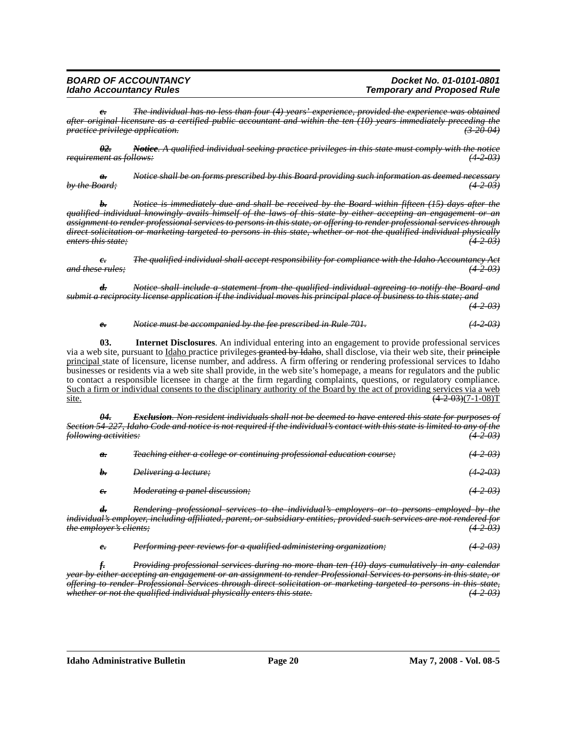| <b>BOARD OF ACCOUNTANCY</b>    | Docket No. 01-0101-0801            |
|--------------------------------|------------------------------------|
| <b>Idaho Accountancy Rules</b> | <b>Temporary and Proposed Rule</b> |

*c. The individual has no less than four (4) years' experience, provided the experience was obtained after original licensure as a certified public accountant and within the ten (10) years immediately preceding the practice privilege application. (3-20-04)*

*02. Notice. A qualified individual seeking practice privileges in this state must comply with the notice requirement as follows: (4-2-03)*

*a. Notice shall be on forms prescribed by this Board providing such information as deemed necessary by the Board; (4-2-03)*

*b. Notice is immediately due and shall be received by the Board within fifteen (15) days after the qualified individual knowingly avails himself of the laws of this state by either accepting an engagement or an assignment to render professional services to persons in this state, or offering to render professional services through direct solicitation or marketing targeted to persons in this state, whether or not the qualified individual physically enters this state; (4-2-03)*

*c. The qualified individual shall accept responsibility for compliance with the Idaho Accountancy Act and these rules; (4-2-03)*

*d. Notice shall include a statement from the qualified individual agreeing to notify the Board and submit a reciprocity license application if the individual moves his principal place of business to this state; and*

*(4-2-03)*

#### *e. Notice must be accompanied by the fee prescribed in Rule 701. (4-2-03)*

**03. Internet Disclosures**. An individual entering into an engagement to provide professional services via a web site, pursuant to *Idaho* practice privileges-granted by Idaho, shall disclose, via their web site, their principle principal state of licensure, license number, and address. A firm offering or rendering professional services to Idaho businesses or residents via a web site shall provide, in the web site's homepage, a means for regulators and the public to contact a responsible licensee in charge at the firm regarding complaints, questions, or regulatory compliance. Such a firm or individual consents to the disciplinary authority of the Board by the act of providing services via a web site.  $(4.2-0.3)(7-1-0.8)T$ 

*04. Exclusion. Non-resident individuals shall not be deemed to have entered this state for purposes of Section 54-227, Idaho Code and notice is not required if the individual's contact with this state is limited to any of the following activities: (4-2-03)*

| a.         | Teaching either a college or continuing professional education course; | <del>(4203)</del> |
|------------|------------------------------------------------------------------------|-------------------|
| $h_{\tau}$ | <i>Delivering a lecture;</i>                                           | $(4 - 2 - 03)$    |
| $e_{i}$    | Moderating a panel discussion;                                         | $(4 - 2 - 03)$    |

*d. Rendering professional services to the individual's employers or to persons employed by the individual's employer, including affiliated, parent, or subsidiary entities, provided such services are not rendered for the employer's clients;* 

*e. Performing peer reviews for a qualified administering organization; (4-2-03)*

*f. Providing professional services during no more than ten (10) days cumulatively in any calendar year by either accepting an engagement or an assignment to render Professional Services to persons in this state, or offering to render Professional Services through direct solicitation or marketing targeted to persons in this state, whether or not the qualified individual physically enters this state. (4-2-03)*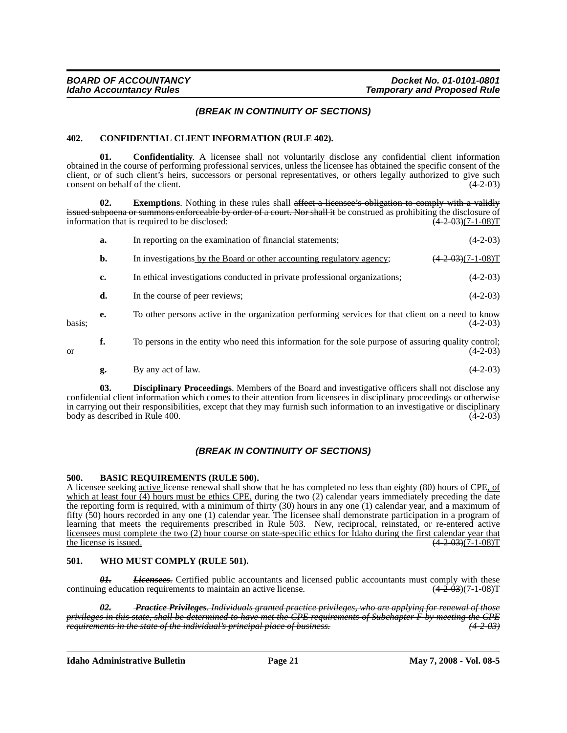## *(BREAK IN CONTINUITY OF SECTIONS)*

#### **402. CONFIDENTIAL CLIENT INFORMATION (RULE 402).**

**01. Confidentiality**. A licensee shall not voluntarily disclose any confidential client information obtained in the course of performing professional services, unless the licensee has obtained the specific consent of the client, or of such client's heirs, successors or personal representatives, or others legally authorized to give such consent on behalf of the client. (4-2-03)

**02.** Exemptions. Nothing in these rules shall affect a licensee's obligation to comply with a validly issued subpoena or summons enforceable by order of a court. Nor shall it be construed as prohibiting the disclosure of information that is required to be disclosed:  $\left(\frac{4-2-03}{7-1-08}\right)$ 

|        | a. | In reporting on the examination of financial statements;                                             | $(4-2-03)$                          |
|--------|----|------------------------------------------------------------------------------------------------------|-------------------------------------|
|        | b. | In investigations by the Board or other accounting regulatory agency;                                | $\frac{(+2-03)(7-1-08)T}{+(-1-08)}$ |
|        | c. | In ethical investigations conducted in private professional organizations;                           | $(4-2-03)$                          |
|        | d. | In the course of peer reviews;                                                                       | $(4-2-03)$                          |
| basis; | e. | To other persons active in the organization performing services for that client on a need to know    | $(4-2-03)$                          |
| or     | f. | To persons in the entity who need this information for the sole purpose of assuring quality control; | $(4-2-03)$                          |
|        | g. | By any act of law.                                                                                   | $(4-2-03)$                          |

**03. Disciplinary Proceedings**. Members of the Board and investigative officers shall not disclose any confidential client information which comes to their attention from licensees in disciplinary proceedings or otherwise in carrying out their responsibilities, except that they may furnish such information to an investigative or disciplinary body as described in Rule 400. (4-2-03) body as described in Rule 400.

## *(BREAK IN CONTINUITY OF SECTIONS)*

#### **500. BASIC REQUIREMENTS (RULE 500).**

A licensee seeking active license renewal shall show that he has completed no less than eighty (80) hours of CPE, of which at least four  $(4)$  hours must be ethics CPE, during the two  $(2)$  calendar years immediately preceding the date the reporting form is required, with a minimum of thirty (30) hours in any one (1) calendar year, and a maximum of fifty (50) hours recorded in any one (1) calendar year. The licensee shall demonstrate participation in a program of learning that meets the requirements prescribed in Rule 503. New, reciprocal, reinstated, or re-entered active licensees must complete the two (2) hour course on state-specific ethics for Idaho during the first calendar year that the license is issued.  $(4-2.03)(7-1.08)$ T the license is issued.

#### **501. WHO MUST COMPLY (RULE 501).**

*01. Licensees*. Certified public accountants and licensed public accountants must comply with these equation requirements to maintain an active license.  $(4-2.03)(7-1.08)$ continuing education requirements to maintain an active license.

*02. Practice Privileges. Individuals granted practice privileges, who are applying for renewal of those privileges in this state, shall be determined to have met the CPE requirements of Subchapter F by meeting the CPE requirements in the state of the individual's principal place of business.* 

**Idaho Administrative Bulletin Page 21 May 7, 2008 - Vol. 08-5**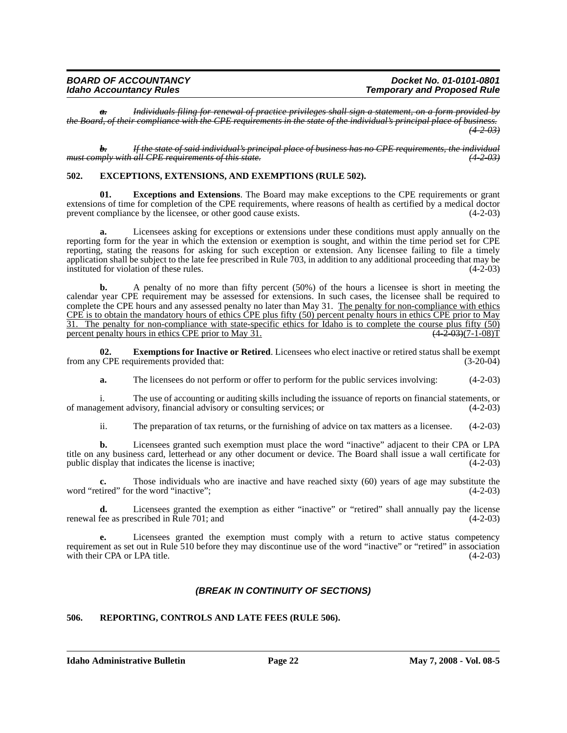| <b>BOARD OF ACCOUNTANCY</b>    | Docket No. 01-0101-0801            |
|--------------------------------|------------------------------------|
| <b>Idaho Accountancy Rules</b> | <b>Temporary and Proposed Rule</b> |

*a. Individuals filing for renewal of practice privileges shall sign a statement, on a form provided by the Board, of their compliance with the CPE requirements in the state of the individual's principal place of business. (4-2-03)*

*b. If the state of said individual's principal place of business has no CPE requirements, the individual must comply with all CPE requirements of this state. (4-2-03)*

#### **502. EXCEPTIONS, EXTENSIONS, AND EXEMPTIONS (RULE 502).**

**01. Exceptions and Extensions**. The Board may make exceptions to the CPE requirements or grant extensions of time for completion of the CPE requirements, where reasons of health as certified by a medical doctor prevent compliance by the licensee, or other good cause exists. (4-2-03)

Licensees asking for exceptions or extensions under these conditions must apply annually on the reporting form for the year in which the extension or exemption is sought, and within the time period set for CPE reporting, stating the reasons for asking for such exception or extension. Any licensee failing to file a timely application shall be subject to the late fee prescribed in Rule 703, in addition to any additional proceeding that may be instituted for violation of these rules. (4-2-03)

**b.** A penalty of no more than fifty percent (50%) of the hours a licensee is short in meeting the calendar year CPE requirement may be assessed for extensions. In such cases, the licensee shall be required to complete the CPE hours and any assessed penalty no later than May 31. The penalty for non-compliance with ethics CPE is to obtain the mandatory hours of ethics CPE plus fifty (50) percent penalty hours in ethics CPE prior to May 31. The penalty for non-compliance with state-specific ethics for Idaho is to complete the course plus fifty (50) percent penalty hours in ethics CPE prior to May 31.  $(4-2.03)(7-1.08)$ T

**02. Exemptions for Inactive or Retired**. Licensees who elect inactive or retired status shall be exempt CPE requirements provided that: (3-20-04) from any CPE requirements provided that:

**a.** The licensees do not perform or offer to perform for the public services involving:  $(4-2-03)$ 

i. The use of accounting or auditing skills including the issuance of reports on financial statements, or of management advisory, financial advisory or consulting services; or (4-2-03)

ii. The preparation of tax returns, or the furnishing of advice on tax matters as a licensee. (4-2-03)

**b.** Licensees granted such exemption must place the word "inactive" adjacent to their CPA or LPA title on any business card, letterhead or any other document or device. The Board shall issue a wall certificate for public display that indicates the license is inactive; (4-2-03)

**c.** Those individuals who are inactive and have reached sixty (60) years of age may substitute the word "retired" for the word "inactive"; (4-2-03)

**d.** Licensees granted the exemption as either "inactive" or "retired" shall annually pay the license renewal fee as prescribed in Rule 701; and (4-2-03)

**e.** Licensees granted the exemption must comply with a return to active status competency requirement as set out in Rule 510 before they may discontinue use of the word "inactive" or "retired" in association with their CPA or LPA title. (4-2-03)

## *(BREAK IN CONTINUITY OF SECTIONS)*

## **506. REPORTING, CONTROLS AND LATE FEES (RULE 506).**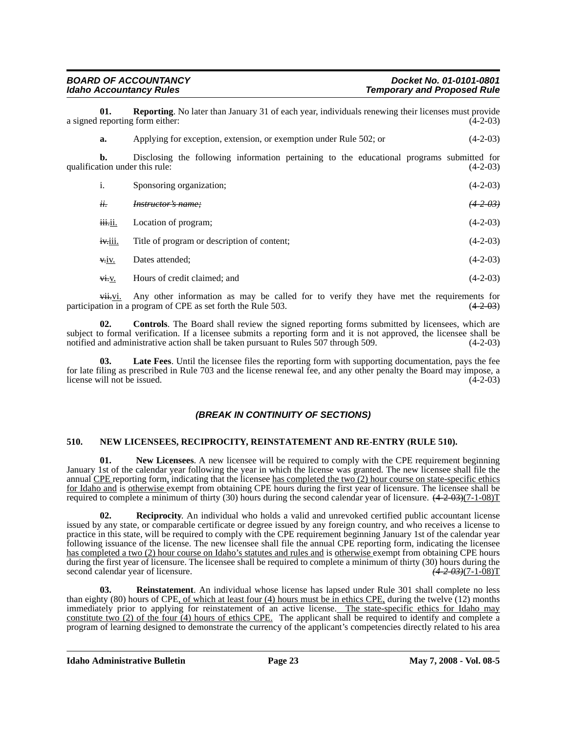| <b>BOARD OF ACCOUNTANCY</b>    | Docket No. 01-0101-0801            |
|--------------------------------|------------------------------------|
| <b>Idaho Accountancy Rules</b> | <b>Temporary and Proposed Rule</b> |

**01. Reporting**. No later than January 31 of each year, individuals renewing their licenses must provide reporting form either: (4-2-03) a signed reporting form either:

**a.** Applying for exception, extension, or exemption under Rule 502; or (4-2-03)

**b.** Disclosing the following information pertaining to the educational programs submitted for tion under this rule:  $(4-2-03)$ qualification under this rule:

| i.      | Sponsoring organization;                    | $(4-2-03)$ |
|---------|---------------------------------------------|------------|
| $ii$ .  | Instructor's name:                          | (4203)     |
| iii.ii. | Location of program;                        | $(4-2-03)$ |
| iv.iii. | Title of program or description of content; | $(4-2-03)$ |
| V.1V.   | Dates attended;                             | $(4-2-03)$ |
| V1. V.  | Hours of credit claimed; and                | $(4-2-03)$ |

 $v$ ii. Any other information as may be called for to verify they have met the requirements for tion in a program of CPE as set forth the Rule 503. participation in a program of CPE as set forth the Rule  $503$ .

**02. Controls**. The Board shall review the signed reporting forms submitted by licensees, which are subject to formal verification. If a licensee submits a reporting form and it is not approved, the licensee shall be notified and administrative action shall be taken pursuant to Rules 507 through 509. (4-2-03) notified and administrative action shall be taken pursuant to Rules 507 through 509.

Late Fees. Until the licensee files the reporting form with supporting documentation, pays the fee for late filing as prescribed in Rule 703 and the license renewal fee, and any other penalty the Board may impose, a license will not be issued. (4-2-03)

## *(BREAK IN CONTINUITY OF SECTIONS)*

#### **510. NEW LICENSEES, RECIPROCITY, REINSTATEMENT AND RE-ENTRY (RULE 510).**

**01.** New Licensees. A new licensee will be required to comply with the CPE requirement beginning January 1st of the calendar year following the year in which the license was granted. The new licensee shall file the annual CPE reporting form, indicating that the licensee has completed the two  $(2)$  hour course on state-specific ethics for Idaho and is otherwise exempt from obtaining CPE hours during the first year of licensure. The licensee shall be required to complete a minimum of thirty (30) hours during the second calendar year of licensure.  $(4-2-03)(7-1-08)T$ 

**02. Reciprocity**. An individual who holds a valid and unrevoked certified public accountant license issued by any state, or comparable certificate or degree issued by any foreign country, and who receives a license to practice in this state, will be required to comply with the CPE requirement beginning January 1st of the calendar year following issuance of the license. The new licensee shall file the annual CPE reporting form, indicating the licensee has completed a two (2) hour course on Idaho's statutes and rules and is otherwise exempt from obtaining CPE hours during the first year of licensure. The licensee shall be required to complete a minimum of thirty (30) hours during the second calendar year of licensure. *(4-2-03)*(7-1-08)T

**03. Reinstatement**. An individual whose license has lapsed under Rule 301 shall complete no less than eighty (80) hours of CPE, of which at least four (4) hours must be in ethics CPE, during the twelve (12) months immediately prior to applying for reinstatement of an active license. The state-specific ethics for Idaho may constitute two (2) of the four (4) hours of ethics CPE. The applicant shall be required to identify and complete a program of learning designed to demonstrate the currency of the applicant's competencies directly related to his area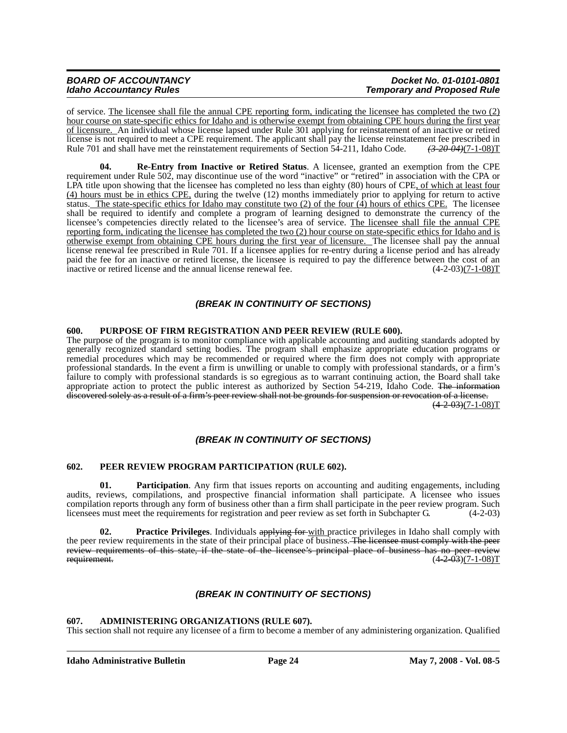| <b>BOARD OF ACCOUNTANCY</b>    | Docket No. 01-0101-0801            |
|--------------------------------|------------------------------------|
| <b>Idaho Accountancy Rules</b> | <b>Temporary and Proposed Rule</b> |

of service. The licensee shall file the annual CPE reporting form, indicating the licensee has completed the two (2) hour course on state-specific ethics for Idaho and is otherwise exempt from obtaining CPE hours during the first year of licensure. An individual whose license lapsed under Rule 301 applying for reinstatement of an inactive or retired license is not required to meet a CPE requirement. The applicant shall pay the license reinstatement fee prescribed in Rule 701 and shall have met the reinstatement requirements of Section 54-211, Idaho Code.  $\left(3\right.20\right$ Rule 701 and shall have met the reinstatement requirements of Section 54-211, Idaho Code.

**04. Re-Entry from Inactive or Retired Status**. A licensee, granted an exemption from the CPE requirement under Rule 502, may discontinue use of the word "inactive" or "retired" in association with the CPA or LPA title upon showing that the licensee has completed no less than eighty (80) hours of CPE, of which at least four (4) hours must be in ethics CPE, during the twelve (12) months immediately prior to applying for return to active status. The state-specific ethics for Idaho may constitute two (2) of the four  $(4)$  hours of ethics CPE. The licensee shall be required to identify and complete a program of learning designed to demonstrate the currency of the licensee's competencies directly related to the licensee's area of service. The licensee shall file the annual CPE reporting form, indicating the licensee has completed the two (2) hour course on state-specific ethics for Idaho and is otherwise exempt from obtaining CPE hours during the first year of licensure. The licensee shall pay the annual license renewal fee prescribed in Rule 701. If a licensee applies for re-entry during a license period and has already paid the fee for an inactive or retired license, the licensee is required to pay the difference between the cost of an inactive or retired license and the annual license renewal fee.  $(4-2-03)(7-1-08)T$ 

## *(BREAK IN CONTINUITY OF SECTIONS)*

## **600. PURPOSE OF FIRM REGISTRATION AND PEER REVIEW (RULE 600).**

The purpose of the program is to monitor compliance with applicable accounting and auditing standards adopted by generally recognized standard setting bodies. The program shall emphasize appropriate education programs or remedial procedures which may be recommended or required where the firm does not comply with appropriate professional standards. In the event a firm is unwilling or unable to comply with professional standards, or a firm's failure to comply with professional standards is so egregious as to warrant continuing action, the Board shall take appropriate action to protect the public interest as authorized by Section 54-219, Idaho Code. The information discovered solely as a result of a firm's peer review shall not be grounds for suspension or revocation of a license.  $\left(\frac{4-2-03}{7-1-08}\right)$ 

## *(BREAK IN CONTINUITY OF SECTIONS)*

#### **602. PEER REVIEW PROGRAM PARTICIPATION (RULE 602).**

**01.** Participation. Any firm that issues reports on accounting and auditing engagements, including audits, reviews, compilations, and prospective financial information shall participate. A licensee who issues compilation reports through any form of business other than a firm shall participate in the peer review program. Such licensees must meet the requirements for registration and peer review as set forth in Subchapter G. (4-2-03)

**02.** Practice Privileges. Individuals applying for with practice privileges in Idaho shall comply with the peer review requirements in the state of their principal place of business. The licensee must comply with the peer review requirements of this state, if the state of the licensee's principal place of business has no peer review<br>requirement.  $(4.2 \text{ } 0.9)(7-1-0.8)$ T  $(4-2-03)(7-1-08)T$ 

## *(BREAK IN CONTINUITY OF SECTIONS)*

## **607. ADMINISTERING ORGANIZATIONS (RULE 607).**

This section shall not require any licensee of a firm to become a member of any administering organization. Qualified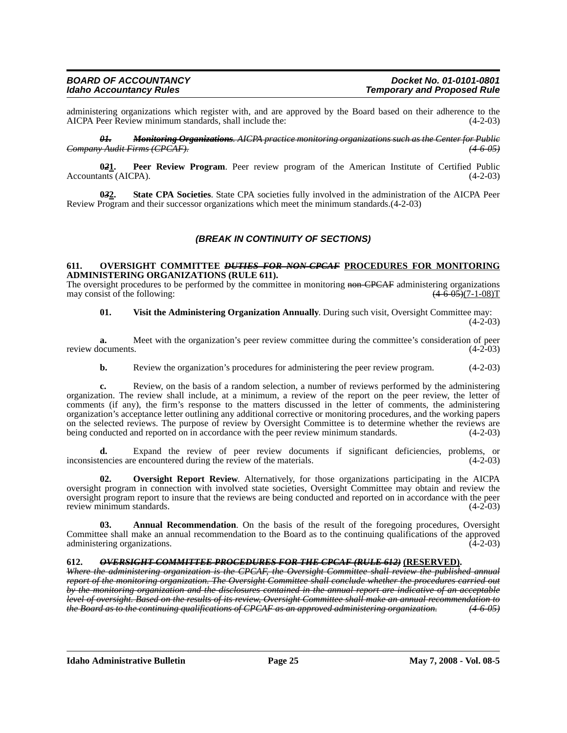administering organizations which register with, and are approved by the Board based on their adherence to the AICPA Peer Review minimum standards, shall include the: (4-2-03) AICPA Peer Review minimum standards, shall include the:

*01. Monitoring Organizations. AICPA practice monitoring organizations such as the Center for Public Company Audit Firms (CPCAF). (4-6-05)*

**0***2***1. Peer Review Program**. Peer review program of the American Institute of Certified Public Accountants (AICPA). (4-2-03)

**0***3***2. State CPA Societies**. State CPA societies fully involved in the administration of the AICPA Peer Review Program and their successor organizations which meet the minimum standards.(4-2-03)

## *(BREAK IN CONTINUITY OF SECTIONS)*

#### **611. OVERSIGHT COMMITTEE** *DUTIES FOR NON-CPCAF* **PROCEDURES FOR MONITORING ADMINISTERING ORGANIZATIONS (RULE 611).**

The oversight procedures to be performed by the committee in monitoring non-CPCAF administering organizations may consist of the following:  $\frac{(4-6.05)(7-1-08)T}{(4-6.05)(7-1-08)}$ 

**01. Visit the Administering Organization Annually**. During such visit, Oversight Committee may:  $(4-2-03)$ 

**a.** Meet with the organization's peer review committee during the committee's consideration of peer review documents. (4-2-03)

**b.** Review the organization's procedures for administering the peer review program.  $(4-2-03)$ 

**c.** Review, on the basis of a random selection, a number of reviews performed by the administering organization. The review shall include, at a minimum, a review of the report on the peer review, the letter of comments (if any), the firm's response to the matters discussed in the letter of comments, the administering organization's acceptance letter outlining any additional corrective or monitoring procedures, and the working papers on the selected reviews. The purpose of review by Oversight Committee is to determine whether the reviews are being conducted and reported on in accordance with the peer review minimum standards. (4-2-03)

**d.** Expand the review of peer review documents if significant deficiencies, problems, or inconsistencies are encountered during the review of the materials. (4-2-03)

**Oversight Report Review.** Alternatively, for those organizations participating in the AICPA oversight program in connection with involved state societies, Oversight Committee may obtain and review the oversight program report to insure that the reviews are being conducted and reported on in accordance with the peer review minimum standards.

**Annual Recommendation**. On the basis of the result of the foregoing procedures, Oversight Committee shall make an annual recommendation to the Board as to the continuing qualifications of the approved administering organizations. (4-2-03)

### **612.** *OVERSIGHT COMMITTEE PROCEDURES FOR THE CPCAF (RULE 612)* **(RESERVED).**

*Where the administering organization is the CPCAF, the Oversight Committee shall review the published annual report of the monitoring organization. The Oversight Committee shall conclude whether the procedures carried out by the monitoring organization and the disclosures contained in the annual report are indicative of an acceptable level of oversight. Based on the results of its review, Oversight Committee shall make an annual recommendation to the Board as to the continuing qualifications of CPCAF as an approved administering organization. (4-6-05)*

**Idaho Administrative Bulletin Page 25 May 7, 2008 - Vol. 08-5**